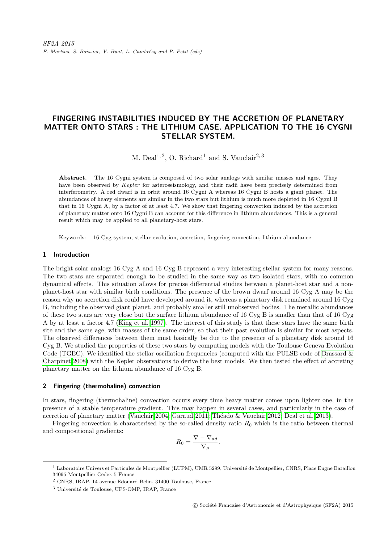# FINGERING INSTABILITIES INDUCED BY THE ACCRETION OF PLANETARY MATTER ONTO STARS : THE LITHIUM CASE. APPLICATION TO THE 16 CYGNI STELLAR SYSTEM.

M. Deal<sup>1, 2</sup>, O. Richard<sup>1</sup> and S. Vauclair<sup>2, 3</sup>

Abstract. The 16 Cygni system is composed of two solar analogs with similar masses and ages. They have been observed by Kepler for asteroseismology, and their radii have been precisely determined from interferometry. A red dwarf is in orbit around 16 Cygni A whereas 16 Cygni B hosts a giant planet. The abundances of heavy elements are similar in the two stars but lithium is much more depleted in 16 Cygni B that in 16 Cygni A, by a factor of at least 4.7. We show that fingering convection induced by the accretion of planetary matter onto 16 Cygni B can account for this difference in lithium abundances. This is a general result which may be applied to all planetary-host stars.

Keywords: 16 Cyg system, stellar evolution, accretion, fingering convection, lithium abundance

## 1 Introduction

The bright solar analogs 16 Cyg A and 16 Cyg B represent a very interesting stellar system for many reasons. The two stars are separated enough to be studied in the same way as two isolated stars, with no common dynamical effects. This situation allows for precise differential studies between a planet-host star and a nonplanet-host star with similar birth conditions. The presence of the brown dwarf around 16 Cyg A may be the reason why no accretion disk could have developed around it, whereas a planetary disk remained around 16 Cyg B, including the observed giant planet, and probably smaller still unobserved bodies. The metallic abundances of these two stars are very close but the surface lithium abundance of 16 Cyg B is smaller than that of 16 Cyg A by at least a factor 4.7 [\(King et al. 1997\)](#page-2-0). The interest of this study is that these stars have the same birth site and the same age, with masses of the same order, so that their past evolution is similar for most aspects. The observed differences between them must basically be due to the presence of a planetary disk around 16 Cyg B. We studied the properties of these two stars by computing models with the Toulouse Geneva Evolution Code (TGEC). We identified the stellar oscillation frequencies (computed with the PULSE code of [Brassard &](#page-2-1) [Charpinet 2008\)](#page-2-1) with the Kepler observations to derive the best models. We then tested the effect of accreting planetary matter on the lithium abundance of 16 Cyg B.

#### 2 Fingering (thermohaline) convection

In stars, fingering (thermohaline) convection occurs every time heavy matter comes upon lighter one, in the presence of a stable temperature gradient. This may happen in several cases, and particularly in the case of accretion of planetary matter [\(Vauclair 2004;](#page-2-2) [Garaud 2011;](#page-2-3) Théado & Vauclair 2012; [Deal et al. 2013\)](#page-2-5).

Fingering convection is characterised by the so-called density ratio  $R_0$  which is the ratio between thermal and compositional gradients:

$$
R_0 = \frac{\nabla - \nabla_{ad}}{\nabla_{\mu}}.
$$

<sup>&</sup>lt;sup>1</sup> Laboratoire Univers et Particules de Montpellier (LUPM), UMR 5299, Université de Montpellier, CNRS, Place Eugne Bataillon 34095 Montpellier Cedex 5 France

<sup>2</sup> CNRS, IRAP, 14 avenue Edouard Belin, 31400 Toulouse, France

<sup>&</sup>lt;sup>3</sup> Université de Toulouse, UPS-OMP, IRAP, France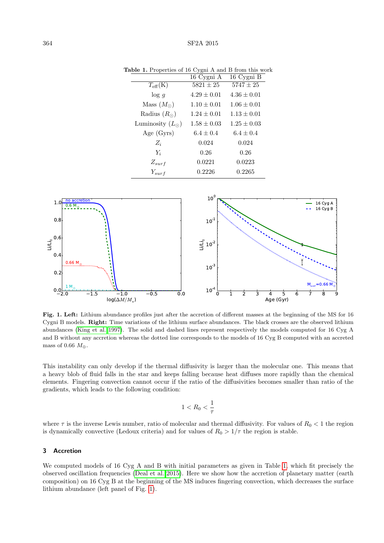<span id="page-1-0"></span>

|                          | 16 Cygni A      | 16 Cygni B      |
|--------------------------|-----------------|-----------------|
| $T_{\rm eff}(\rm K)$     | $5821 \pm 25$   | $5747\pm25$     |
| $\log g$                 | $4.29 \pm 0.01$ | $4.36 \pm 0.01$ |
| Mass $(M_{\odot})$       | $1.10 \pm 0.01$ | $1.06 \pm 0.01$ |
| Radius $(R_{\odot})$     | $1.24 \pm 0.01$ | $1.13 \pm 0.01$ |
| Luminosity $(L_{\odot})$ | $1.58 \pm 0.03$ | $1.25 \pm 0.03$ |
| Age $(Gyrs)$             | $6.4 \pm 0.4$   | $6.4 \pm 0.4$   |
| $Z_i$                    | 0.024           | 0.024           |
| $Y_i$                    | 0.26            | 0.26            |
| $Z_{surf}$               | 0.0221          | 0.0223          |
| $Y_{surf}$               | 0.2226          | 0.2265          |

Table 1. Properties of 16 Cygni A and B from this work



Fig. 1. Left: Lithium abundance profiles just after the accretion of different masses at the beginning of the MS for 16 Cygni B models. Right: Time variations of the lithium surface abundances. The black crosses are the observed lithium abundances [\(King et al. 1997\)](#page-2-0). The solid and dashed lines represent respectively the models computed for 16 Cyg A and B without any accretion whereas the dotted line corresponds to the models of 16 Cyg B computed with an accreted mass of 0.66  $M_{\oplus}$ .

This instability can only develop if the thermal diffusivity is larger than the molecular one. This means that a heavy blob of fluid falls in the star and keeps falling because heat diffuses more rapidly than the chemical elements. Fingering convection cannot occur if the ratio of the diffusivities becomes smaller than ratio of the gradients, which leads to the following condition:

$$
1 < R_0 < \frac{1}{\tau}
$$

where  $\tau$  is the inverse Lewis number, ratio of molecular and thermal diffusivity. For values of  $R_0 < 1$  the region is dynamically convective (Ledoux criteria) and for values of  $R_0 > 1/\tau$  the region is stable.

## 3 Accretion

We computed models of 16 Cyg A and B with initial parameters as given in Table [1,](#page-1-0) which fit precisely the observed oscillation frequencies [\(Deal et al. 2015\)](#page-2-6). Here we show how the accretion of planetary matter (earth composition) on 16 Cyg B at the beginning of the MS induces fingering convection, which decreases the surface lithium abundance (left panel of Fig. [1\)](#page-1-0).